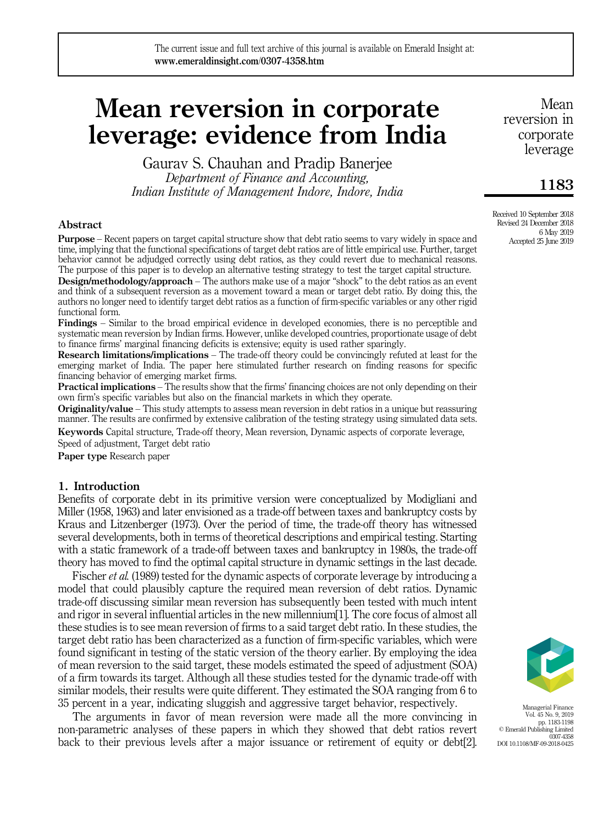# Mean reversion in corporate leverage: evidence from India

Gaurav S. Chauhan and Pradip Banerjee

*Department of Finance and Accounting, Indian Institute of Management Indore, Indore, India*

## Abstract

Purpose – Recent papers on target capital structure show that debt ratio seems to vary widely in space and time, implying that the functional specifications of target debt ratios are of little empirical use. Further, target behavior cannot be adjudged correctly using debt ratios, as they could revert due to mechanical reasons. The purpose of this paper is to develop an alternative testing strategy to test the target capital structure.

**Design/methodology/approach** – The authors make use of a major "shock" to the debt ratios as an event and think of a subsequent reversion as a movement toward a mean or target debt ratio. By doing this, the authors no longer need to identify target debt ratios as a function of firm-specific variables or any other rigid functional form.

Findings – Similar to the broad empirical evidence in developed economies, there is no perceptible and systematic mean reversion by Indian firms. However, unlike developed countries, proportionate usage of debt to finance firms' marginal financing deficits is extensive; equity is used rather sparingly.

Research limitations/implications – The trade-off theory could be convincingly refuted at least for the emerging market of India. The paper here stimulated further research on finding reasons for specific financing behavior of emerging market firms.

**Practical implications** – The results show that the firms' financing choices are not only depending on their own firm's specific variables but also on the financial markets in which they operate.

**Originality/value** – This study attempts to assess mean reversion in debt ratios in a unique but reassuring manner. The results are confirmed by extensive calibration of the testing strategy using simulated data sets.

Keywords Capital structure, Trade-off theory, Mean reversion, Dynamic aspects of corporate leverage, Speed of adjustment, Target debt ratio

Paper type Research paper

## 1. Introduction

Benefits of corporate debt in its primitive version were conceptualized by Modigliani and Miller (1958, 1963) and later envisioned as a trade-off between taxes and bankruptcy costs by Kraus and Litzenberger (1973). Over the period of time, the trade-off theory has witnessed several developments, both in terms of theoretical descriptions and empirical testing. Starting with a static framework of a trade-off between taxes and bankruptcy in 1980s, the trade-off theory has moved to find the optimal capital structure in dynamic settings in the last decade.

Fischer *et al.* (1989) tested for the dynamic aspects of corporate leverage by introducing a model that could plausibly capture the required mean reversion of debt ratios. Dynamic trade-off discussing similar mean reversion has subsequently been tested with much intent and rigor in several influential articles in the new millennium[1]. The core focus of almost all these studies is to see mean reversion of firms to a said target debt ratio. In these studies, the target debt ratio has been characterized as a function of firm-specific variables, which were found significant in testing of the static version of the theory earlier. By employing the idea of mean reversion to the said target, these models estimated the speed of adjustment (SOA) of a firm towards its target. Although all these studies tested for the dynamic trade-off with similar models, their results were quite different. They estimated the SOA ranging from 6 to 35 percent in a year, indicating sluggish and aggressive target behavior, respectively.

The arguments in favor of mean reversion were made all the more convincing in non-parametric analyses of these papers in which they showed that debt ratios revert back to their previous levels after a major issuance or retirement of equity or debt[2].



Managerial Finance Vol. 45 No. 9, 2019 pp. 1183-1198 © Emerald Publishing Limited 0307-4358 DOI 10.1108/MF-09-2018-0425

Mean reversion in corporate leverage

# 1183

Received 10 September 2018 Revised 24 December 2018 6 May 2019 Accepted 25 June 2019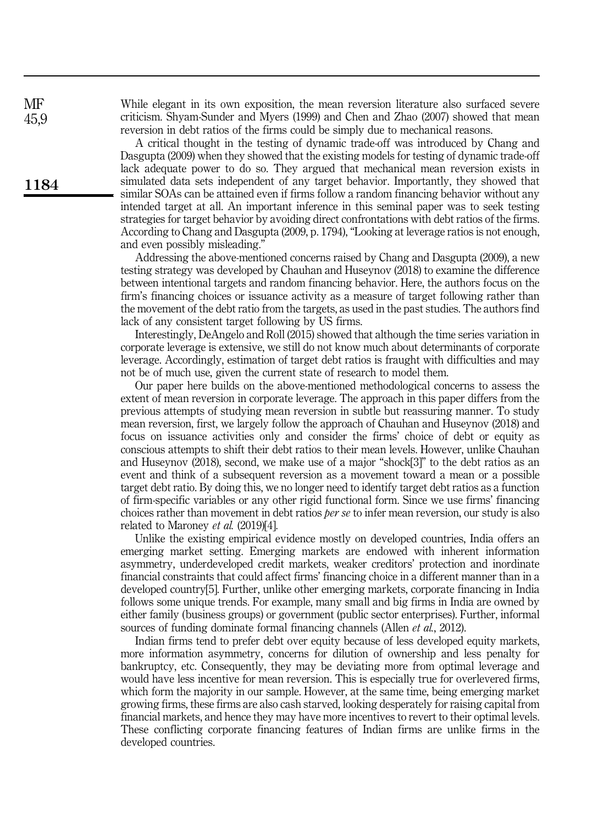While elegant in its own exposition, the mean reversion literature also surfaced severe criticism. Shyam-Sunder and Myers (1999) and Chen and Zhao (2007) showed that mean reversion in debt ratios of the firms could be simply due to mechanical reasons.

A critical thought in the testing of dynamic trade-off was introduced by Chang and Dasgupta (2009) when they showed that the existing models for testing of dynamic trade-off lack adequate power to do so. They argued that mechanical mean reversion exists in simulated data sets independent of any target behavior. Importantly, they showed that similar SOAs can be attained even if firms follow a random financing behavior without any intended target at all. An important inference in this seminal paper was to seek testing strategies for target behavior by avoiding direct confrontations with debt ratios of the firms. According to Chang and Dasgupta (2009, p. 1794), "Looking at leverage ratios is not enough, and even possibly misleading."

Addressing the above-mentioned concerns raised by Chang and Dasgupta (2009), a new testing strategy was developed by Chauhan and Huseynov (2018) to examine the difference between intentional targets and random financing behavior. Here, the authors focus on the firm's financing choices or issuance activity as a measure of target following rather than the movement of the debt ratio from the targets, as used in the past studies. The authors find lack of any consistent target following by US firms.

Interestingly, DeAngelo and Roll (2015) showed that although the time series variation in corporate leverage is extensive, we still do not know much about determinants of corporate leverage. Accordingly, estimation of target debt ratios is fraught with difficulties and may not be of much use, given the current state of research to model them.

Our paper here builds on the above-mentioned methodological concerns to assess the extent of mean reversion in corporate leverage. The approach in this paper differs from the previous attempts of studying mean reversion in subtle but reassuring manner. To study mean reversion, first, we largely follow the approach of Chauhan and Huseynov (2018) and focus on issuance activities only and consider the firms' choice of debt or equity as conscious attempts to shift their debt ratios to their mean levels. However, unlike Chauhan and Huseynov (2018), second, we make use of a major "shock[3]" to the debt ratios as an event and think of a subsequent reversion as a movement toward a mean or a possible target debt ratio. By doing this, we no longer need to identify target debt ratios as a function of firm-specific variables or any other rigid functional form. Since we use firms' financing choices rather than movement in debt ratios *per se* to infer mean reversion, our study is also related to Maroney *et al.* (2019)[4].

Unlike the existing empirical evidence mostly on developed countries, India offers an emerging market setting. Emerging markets are endowed with inherent information asymmetry, underdeveloped credit markets, weaker creditors' protection and inordinate financial constraints that could affect firms' financing choice in a different manner than in a developed country[5]. Further, unlike other emerging markets, corporate financing in India follows some unique trends. For example, many small and big firms in India are owned by either family (business groups) or government (public sector enterprises). Further, informal sources of funding dominate formal financing channels (Allen *et al.*, 2012).

Indian firms tend to prefer debt over equity because of less developed equity markets, more information asymmetry, concerns for dilution of ownership and less penalty for bankruptcy, etc. Consequently, they may be deviating more from optimal leverage and would have less incentive for mean reversion. This is especially true for overlevered firms, which form the majority in our sample. However, at the same time, being emerging market growing firms, these firms are also cash starved, looking desperately for raising capital from financial markets, and hence they may have more incentives to revert to their optimal levels. These conflicting corporate financing features of Indian firms are unlike firms in the developed countries.

**MF** 45,9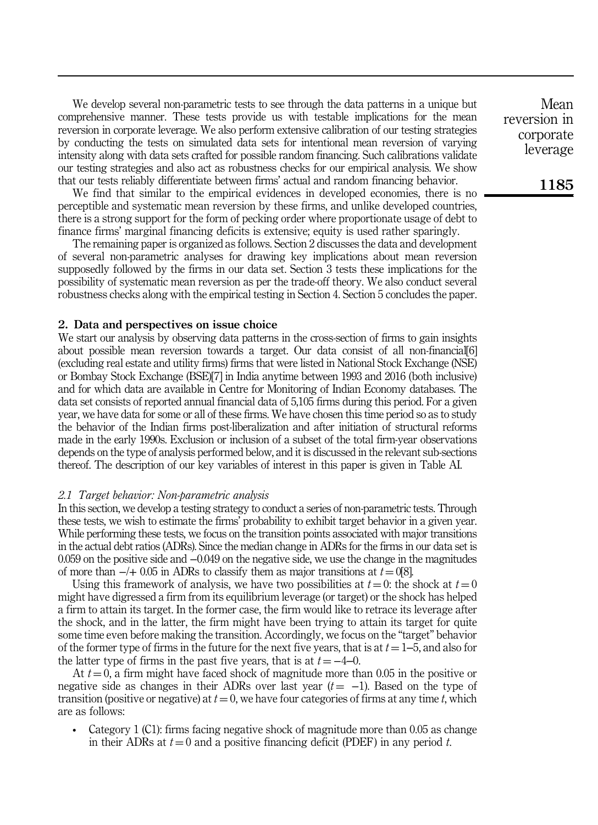We develop several non-parametric tests to see through the data patterns in a unique but comprehensive manner. These tests provide us with testable implications for the mean reversion in corporate leverage. We also perform extensive calibration of our testing strategies by conducting the tests on simulated data sets for intentional mean reversion of varying intensity along with data sets crafted for possible random financing. Such calibrations validate our testing strategies and also act as robustness checks for our empirical analysis. We show that our tests reliably differentiate between firms' actual and random financing behavior.

We find that similar to the empirical evidences in developed economies, there is no perceptible and systematic mean reversion by these firms, and unlike developed countries, there is a strong support for the form of pecking order where proportionate usage of debt to finance firms' marginal financing deficits is extensive; equity is used rather sparingly.

The remaining paper is organized as follows. Section 2 discusses the data and development of several non-parametric analyses for drawing key implications about mean reversion supposedly followed by the firms in our data set. Section 3 tests these implications for the possibility of systematic mean reversion as per the trade-off theory. We also conduct several robustness checks along with the empirical testing in Section 4. Section 5 concludes the paper.

#### 2. Data and perspectives on issue choice

We start our analysis by observing data patterns in the cross-section of firms to gain insights about possible mean reversion towards a target. Our data consist of all non-financial[6] (excluding real estate and utility firms) firms that were listed in National Stock Exchange (NSE) or Bombay Stock Exchange (BSE)[7] in India anytime between 1993 and 2016 (both inclusive) and for which data are available in Centre for Monitoring of Indian Economy databases. The data set consists of reported annual financial data of 5,105 firms during this period. For a given year, we have data for some or all of these firms. We have chosen this time period so as to study the behavior of the Indian firms post-liberalization and after initiation of structural reforms made in the early 1990s. Exclusion or inclusion of a subset of the total firm-year observations depends on the type of analysis performed below, and it is discussed in the relevant sub-sections thereof. The description of our key variables of interest in this paper is given in Table AI.

#### *2.1 Target behavior: Non-parametric analysis*

In this section, we develop a testing strategy to conduct a series of non-parametric tests. Through these tests, we wish to estimate the firms' probability to exhibit target behavior in a given year. While performing these tests, we focus on the transition points associated with major transitions in the actual debt ratios (ADRs). Since the median change in ADRs for the firms in our data set is 0.059 on the positive side and −0.049 on the negative side, we use the change in the magnitudes of more than  $-/- 0.05$  in ADRs to classify them as major transitions at  $t = 0[8]$ .

Using this framework of analysis, we have two possibilities at  $t = 0$ : the shock at  $t = 0$ might have digressed a firm from its equilibrium leverage (or target) or the shock has helped a firm to attain its target. In the former case, the firm would like to retrace its leverage after the shock, and in the latter, the firm might have been trying to attain its target for quite some time even before making the transition. Accordingly, we focus on the "target" behavior of the former type of firms in the future for the next five years, that is at  $t = 1-5$ , and also for the latter type of firms in the past five years, that is at  $t = -4-0$ .

At  $t = 0$ , a firm might have faced shock of magnitude more than 0.05 in the positive or negative side as changes in their ADRs over last year  $(t = -1)$ . Based on the type of transition (positive or negative) at  $t = 0$ , we have four categories of firms at any time  $t$ , which are as follows:

• Category 1 (C1): firms facing negative shock of magnitude more than 0.05 as change in their ADRs at  $t = 0$  and a positive financing deficit (PDEF) in any period  $t$ .

Mean reversion in corporate leverage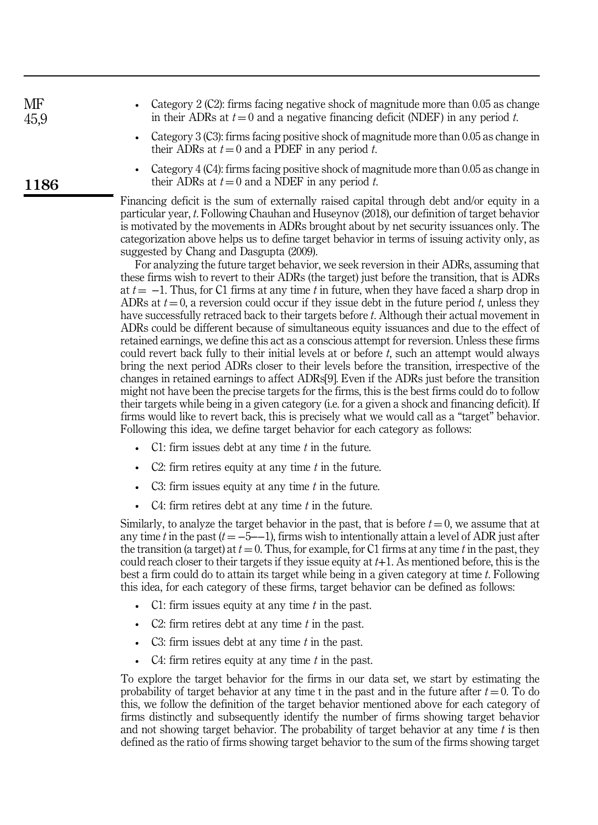| MF   | Category 2 (C2): firms facing negative shock of magnitude more than 0.05 as change                                                           |
|------|----------------------------------------------------------------------------------------------------------------------------------------------|
| 45,9 | in their ADRs at $t = 0$ and a negative financing deficit (NDEF) in any period t.                                                            |
|      | • Category 3 (C3): firms facing positive shock of magnitude more than 0.05 as change in<br>their ADRs at $t = 0$ and a PDEF in any period t. |

1186

• Category 4 (C4): firms facing positive shock of magnitude more than 0.05 as change in their ADRs at  $t = 0$  and a NDEF in any period  $t$ .

Financing deficit is the sum of externally raised capital through debt and/or equity in a particular year, *t*. Following Chauhan and Huseynov (2018), our definition of target behavior is motivated by the movements in ADRs brought about by net security issuances only. The categorization above helps us to define target behavior in terms of issuing activity only, as suggested by Chang and Dasgupta (2009).

For analyzing the future target behavior, we seek reversion in their ADRs, assuming that these firms wish to revert to their ADRs (the target) just before the transition, that is ADRs at  $t = -1$ . Thus, for C1 firms at any time *t* in future, when they have faced a sharp drop in ADRs at  $t = 0$ , a reversion could occur if they issue debt in the future period *t*, unless they have successfully retraced back to their targets before *t*. Although their actual movement in ADRs could be different because of simultaneous equity issuances and due to the effect of retained earnings, we define this act as a conscious attempt for reversion. Unless these firms could revert back fully to their initial levels at or before *t*, such an attempt would always bring the next period ADRs closer to their levels before the transition, irrespective of the changes in retained earnings to affect ADRs[9]. Even if the ADRs just before the transition might not have been the precise targets for the firms, this is the best firms could do to follow their targets while being in a given category (i.e. for a given a shock and financing deficit). If firms would like to revert back, this is precisely what we would call as a "target" behavior. Following this idea, we define target behavior for each category as follows:

- C1: firm issues debt at any time *t* in the future.
- C2: firm retires equity at any time *t* in the future.
- C3: firm issues equity at any time *t* in the future.
- C4: firm retires debt at any time *t* in the future.

Similarly, to analyze the target behavior in the past, that is before  $t = 0$ , we assume that at any time *t* in the past  $(t = -5 - 1)$ , firms wish to intentionally attain a level of ADR just after the transition (a target) at  $t = 0$ . Thus, for example, for C1 firms at any time  $t$  in the past, they could reach closer to their targets if they issue equity at *t*+1. As mentioned before, this is the best a firm could do to attain its target while being in a given category at time *t*. Following this idea, for each category of these firms, target behavior can be defined as follows:

- C1: firm issues equity at any time *t* in the past.
- C2: firm retires debt at any time *t* in the past.
- C3: firm issues debt at any time *t* in the past.
- C4: firm retires equity at any time *t* in the past.

To explore the target behavior for the firms in our data set, we start by estimating the probability of target behavior at any time t in the past and in the future after  $t = 0$ . To do this, we follow the definition of the target behavior mentioned above for each category of firms distinctly and subsequently identify the number of firms showing target behavior and not showing target behavior. The probability of target behavior at any time *t* is then defined as the ratio of firms showing target behavior to the sum of the firms showing target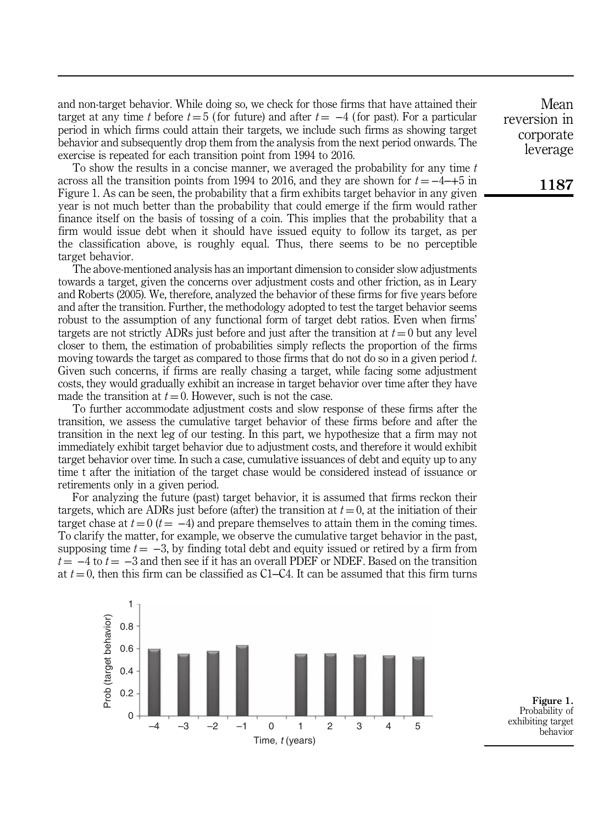and non-target behavior. While doing so, we check for those firms that have attained their target at any time *t* before  $t = 5$  (for future) and after  $t = -4$  (for past). For a particular period in which firms could attain their targets, we include such firms as showing target behavior and subsequently drop them from the analysis from the next period onwards. The exercise is repeated for each transition point from 1994 to 2016.

To show the results in a concise manner, we averaged the probability for any time *t* across all the transition points from 1994 to 2016, and they are shown for  $t = -4 \rightarrow -45$  in Figure 1. As can be seen, the probability that a firm exhibits target behavior in any given year is not much better than the probability that could emerge if the firm would rather finance itself on the basis of tossing of a coin. This implies that the probability that a firm would issue debt when it should have issued equity to follow its target, as per the classification above, is roughly equal. Thus, there seems to be no perceptible target behavior.

The above-mentioned analysis has an important dimension to consider slow adjustments towards a target, given the concerns over adjustment costs and other friction, as in Leary and Roberts (2005). We, therefore, analyzed the behavior of these firms for five years before and after the transition. Further, the methodology adopted to test the target behavior seems robust to the assumption of any functional form of target debt ratios. Even when firms' targets are not strictly ADRs just before and just after the transition at  $t = 0$  but any level closer to them, the estimation of probabilities simply reflects the proportion of the firms moving towards the target as compared to those firms that do not do so in a given period *t*. Given such concerns, if firms are really chasing a target, while facing some adjustment costs, they would gradually exhibit an increase in target behavior over time after they have made the transition at  $t = 0$ . However, such is not the case.

To further accommodate adjustment costs and slow response of these firms after the transition, we assess the cumulative target behavior of these firms before and after the transition in the next leg of our testing. In this part, we hypothesize that a firm may not immediately exhibit target behavior due to adjustment costs, and therefore it would exhibit target behavior over time. In such a case, cumulative issuances of debt and equity up to any time t after the initiation of the target chase would be considered instead of issuance or retirements only in a given period.

For analyzing the future (past) target behavior, it is assumed that firms reckon their targets, which are ADRs just before (after) the transition at  $t = 0$ , at the initiation of their target chase at  $t = 0$  ( $t = -4$ ) and prepare themselves to attain them in the coming times. To clarify the matter, for example, we observe the cumulative target behavior in the past, supposing time  $t = -3$ , by finding total debt and equity issued or retired by a firm from  $t = -4$  to  $t = -3$  and then see if it has an overall PDEF or NDEF. Based on the transition at  $t = 0$ , then this firm can be classified as C1–C4. It can be assumed that this firm turns



Figure 1. Probability of exhibiting target behavior

Mean reversion in corporate leverage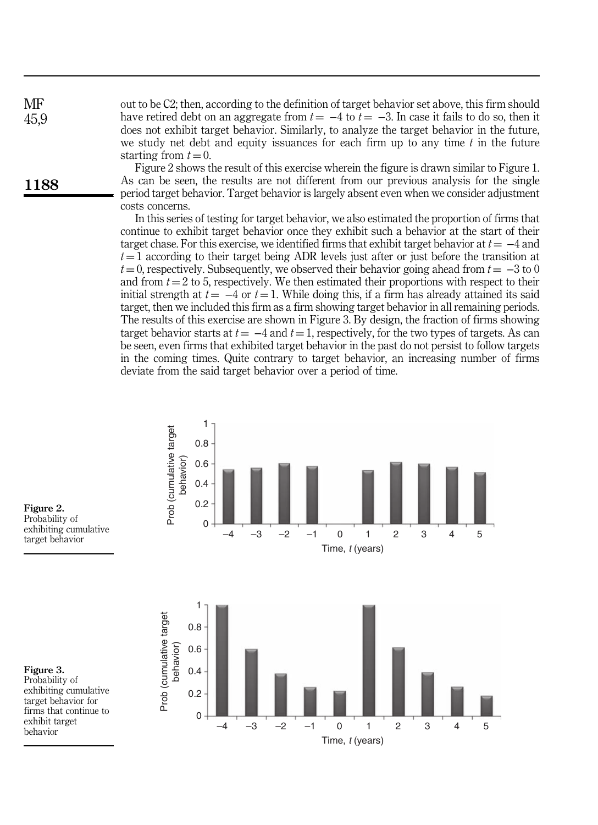out to be C2; then, according to the definition of target behavior set above, this firm should have retired debt on an aggregate from  $t = -4$  to  $t = -3$ . In case it fails to do so, then it does not exhibit target behavior. Similarly, to analyze the target behavior in the future, we study net debt and equity issuances for each firm up to any time *t* in the future starting from  $t = 0$ . **MF** 45,9

Figure 2 shows the result of this exercise wherein the figure is drawn similar to Figure 1. As can be seen, the results are not different from our previous analysis for the single period target behavior. Target behavior is largely absent even when we consider adjustment costs concerns.

In this series of testing for target behavior, we also estimated the proportion of firms that continue to exhibit target behavior once they exhibit such a behavior at the start of their target chase. For this exercise, we identified firms that exhibit target behavior at  $t = -4$  and  $t = 1$  according to their target being ADR levels just after or just before the transition at  $t = 0$ , respectively. Subsequently, we observed their behavior going ahead from  $t = -3$  to 0 and from  $t = 2$  to 5, respectively. We then estimated their proportions with respect to their initial strength at  $t = -4$  or  $t = 1$ . While doing this, if a firm has already attained its said target, then we included this firm as a firm showing target behavior in all remaining periods. The results of this exercise are shown in Figure 3. By design, the fraction of firms showing target behavior starts at  $t = -4$  and  $t = 1$ , respectively, for the two types of targets. As can be seen, even firms that exhibited target behavior in the past do not persist to follow targets in the coming times. Quite contrary to target behavior, an increasing number of firms deviate from the said target behavior over a period of time.



Figure 2. Probability of exhibiting cumulative target behavior

1188



Figure 3. Probability of

exhibiting cumulative target behavior for firms that continue to exhibit target behavior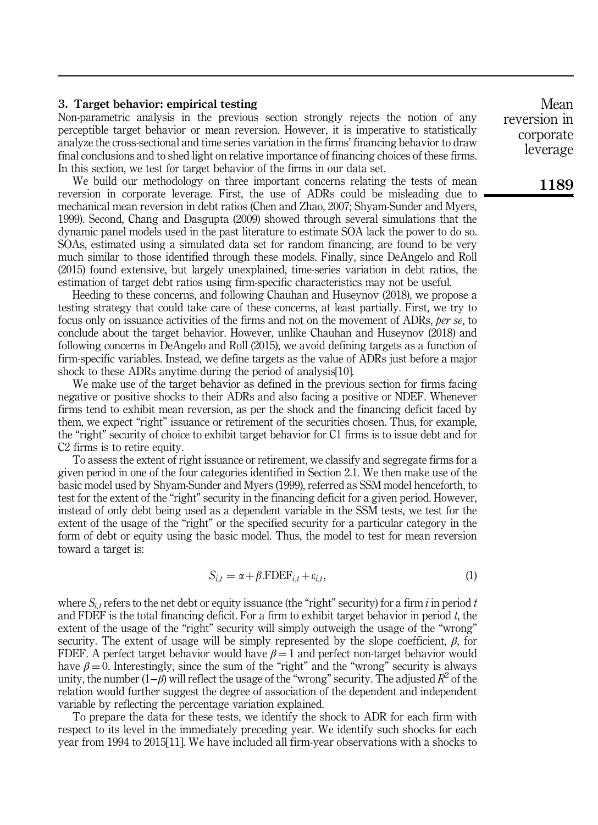#### 3. Target behavior: empirical testing

Non-parametric analysis in the previous section strongly rejects the notion of any perceptible target behavior or mean reversion. However, it is imperative to statistically analyze the cross-sectional and time series variation in the firms' financing behavior to draw final conclusions and to shed light on relative importance of financing choices of these firms. In this section, we test for target behavior of the firms in our data set.

We build our methodology on three important concerns relating the tests of mean reversion in corporate leverage. First, the use of ADRs could be misleading due to mechanical mean reversion in debt ratios (Chen and Zhao, 2007; Shyam-Sunder and Myers, 1999). Second, Chang and Dasgupta (2009) showed through several simulations that the dynamic panel models used in the past literature to estimate SOA lack the power to do so. SOAs, estimated using a simulated data set for random financing, are found to be very much similar to those identified through these models. Finally, since DeAngelo and Roll (2015) found extensive, but largely unexplained, time-series variation in debt ratios, the estimation of target debt ratios using firm-specific characteristics may not be useful.

Heeding to these concerns, and following Chauhan and Huseynov (2018), we propose a testing strategy that could take care of these concerns, at least partially. First, we try to focus only on issuance activities of the firms and not on the movement of ADRs, *per se*, to conclude about the target behavior. However, unlike Chauhan and Huseynov (2018) and following concerns in DeAngelo and Roll (2015), we avoid defining targets as a function of firm-specific variables. Instead, we define targets as the value of ADRs just before a major shock to these ADRs anytime during the period of analysis[10].

We make use of the target behavior as defined in the previous section for firms facing negative or positive shocks to their ADRs and also facing a positive or NDEF. Whenever firms tend to exhibit mean reversion, as per the shock and the financing deficit faced by them, we expect "right" issuance or retirement of the securities chosen. Thus, for example, the "right" security of choice to exhibit target behavior for C1 firms is to issue debt and for C<sub>2</sub> firms is to retire equity.

To assess the extent of right issuance or retirement, we classify and segregate firms for a given period in one of the four categories identified in Section 2.1. We then make use of the basic model used by Shyam-Sunder and Myers (1999), referred as SSM model henceforth, to test for the extent of the "right" security in the financing deficit for a given period. However, instead of only debt being used as a dependent variable in the SSM tests, we test for the extent of the usage of the "right" or the specified security for a particular category in the form of debt or equity using the basic model. Thus, the model to test for mean reversion toward a target is:

$$
S_{i,t} = \alpha + \beta . \text{FDEF}_{i,t} + \varepsilon_{i,t}, \tag{1}
$$

where  $S_{i,t}$  refers to the net debt or equity issuance (the "right" security) for a firm  $i$  in period  $t$ and FDEF is the total financing deficit. For a firm to exhibit target behavior in period *t*, the extent of the usage of the "right" security will simply outweigh the usage of the "wrong" security. The extent of usage will be simply represented by the slope coefficient,  $\beta$ , for FDEF. A perfect target behavior would have  $\beta = 1$  and perfect non-target behavior would have  $\beta = 0$ . Interestingly, since the sum of the "right" and the "wrong" security is always unity, the number (1−β) will reflect the usage of the "wrong" security. The adjusted *R* 2 of the relation would further suggest the degree of association of the dependent and independent variable by reflecting the percentage variation explained.

To prepare the data for these tests, we identify the shock to ADR for each firm with respect to its level in the immediately preceding year. We identify such shocks for each year from 1994 to 2015[11]. We have included all firm-year observations with a shocks to

Mean reversion in corporate leverage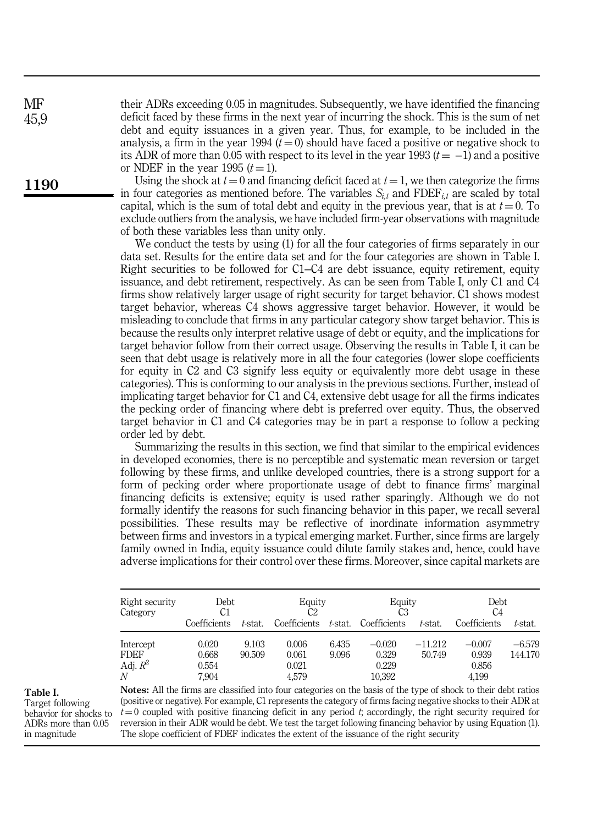their ADRs exceeding 0.05 in magnitudes. Subsequently, we have identified the financing deficit faced by these firms in the next year of incurring the shock. This is the sum of net debt and equity issuances in a given year. Thus, for example, to be included in the analysis, a firm in the year 1994  $(t = 0)$  should have faced a positive or negative shock to its ADR of more than 0.05 with respect to its level in the year 1993  $(t = -1)$  and a positive or NDEF in the year 1995  $(t=1)$ .

Using the shock at  $t = 0$  and financing deficit faced at  $t = 1$ , we then categorize the firms in four categories as mentioned before. The variables  $S_{i,t}$  and FDEF<sub>*it*</sub> are scaled by total capital, which is the sum of total debt and equity in the previous year, that is at  $t = 0$ . To exclude outliers from the analysis, we have included firm-year observations with magnitude of both these variables less than unity only.

We conduct the tests by using (1) for all the four categories of firms separately in our data set. Results for the entire data set and for the four categories are shown in Table I. Right securities to be followed for C1–C4 are debt issuance, equity retirement, equity issuance, and debt retirement, respectively. As can be seen from Table I, only C1 and C4 firms show relatively larger usage of right security for target behavior. C1 shows modest target behavior, whereas C4 shows aggressive target behavior. However, it would be misleading to conclude that firms in any particular category show target behavior. This is because the results only interpret relative usage of debt or equity, and the implications for target behavior follow from their correct usage. Observing the results in Table I, it can be seen that debt usage is relatively more in all the four categories (lower slope coefficients for equity in C2 and C3 signify less equity or equivalently more debt usage in these categories). This is conforming to our analysis in the previous sections. Further, instead of implicating target behavior for C1 and C4, extensive debt usage for all the firms indicates the pecking order of financing where debt is preferred over equity. Thus, the observed target behavior in C1 and C4 categories may be in part a response to follow a pecking order led by debt.

Summarizing the results in this section, we find that similar to the empirical evidences in developed economies, there is no perceptible and systematic mean reversion or target following by these firms, and unlike developed countries, there is a strong support for a form of pecking order where proportionate usage of debt to finance firms' marginal financing deficits is extensive; equity is used rather sparingly. Although we do not formally identify the reasons for such financing behavior in this paper, we recall several possibilities. These results may be reflective of inordinate information asymmetry between firms and investors in a typical emerging market. Further, since firms are largely family owned in India, equity issuance could dilute family stakes and, hence, could have adverse implications for their control over these firms. Moreover, since capital markets are

| Right security<br>Category                  | Debt<br>C1                       |                 | Equity<br>C2                     |                | Equity<br>CЗ                         |                     | Debt<br>C4                          |                     |  |
|---------------------------------------------|----------------------------------|-----------------|----------------------------------|----------------|--------------------------------------|---------------------|-------------------------------------|---------------------|--|
|                                             | Coefficients                     | t-stat.         | Coefficients                     | t-stat.        | Coefficients                         | t-stat.             | Coefficients                        | t-stat.             |  |
| Intercept<br><b>FDEF</b><br>Adj. $R^2$<br>N | 0.020<br>0.668<br>0.554<br>7,904 | 9.103<br>90.509 | 0.006<br>0.061<br>0.021<br>4.579 | 6.435<br>9.096 | $-0.020$<br>0.329<br>0.229<br>10,392 | $-11.212$<br>50.749 | $-0.007$<br>0.939<br>0.856<br>4.199 | $-6.579$<br>144.170 |  |

# Table I.

Target following behavior for shocks to ADRs more than 0.05 in magnitude

Notes: All the firms are classified into four categories on the basis of the type of shock to their debt ratios (positive or negative). For example, C1 represents the category of firms facing negative shocks to their ADR at  $t = 0$  coupled with positive financing deficit in any period  $t$ ; accordingly, the right security required for reversion in their ADR would be debt. We test the target following financing behavior by using Equation (1). The slope coefficient of FDEF indicates the extent of the issuance of the right security

**MF** 45,9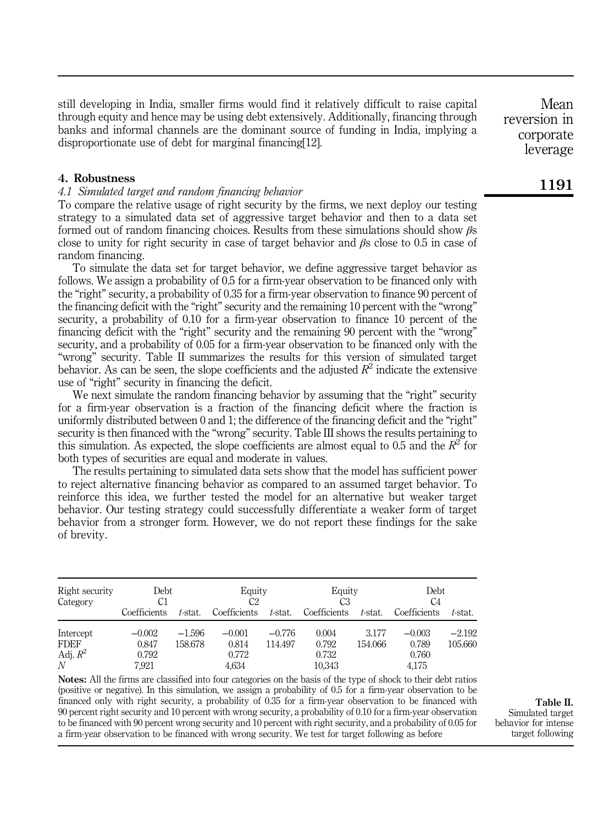still developing in India, smaller firms would find it relatively difficult to raise capital through equity and hence may be using debt extensively. Additionally, financing through banks and informal channels are the dominant source of funding in India, implying a disproportionate use of debt for marginal financing[12].

#### 4. Robustness

#### *4.1 Simulated target and random financing behavior*

To compare the relative usage of right security by the firms, we next deploy our testing strategy to a simulated data set of aggressive target behavior and then to a data set formed out of random financing choices. Results from these simulations should show βs close to unity for right security in case of target behavior and  $\beta$ s close to 0.5 in case of random financing.

To simulate the data set for target behavior, we define aggressive target behavior as follows. We assign a probability of 0.5 for a firm-year observation to be financed only with the "right" security, a probability of 0.35 for a firm-year observation to finance 90 percent of the financing deficit with the "right" security and the remaining 10 percent with the "wrong" security, a probability of 0.10 for a firm-year observation to finance 10 percent of the financing deficit with the "right" security and the remaining 90 percent with the "wrong" security, and a probability of 0.05 for a firm-year observation to be financed only with the "wrong" security. Table II summarizes the results for this version of simulated target behavior. As can be seen, the slope coefficients and the adjusted  $R^2$  indicate the extensive use of "right" security in financing the deficit.

We next simulate the random financing behavior by assuming that the "right" security for a firm-year observation is a fraction of the financing deficit where the fraction is uniformly distributed between 0 and 1; the difference of the financing deficit and the "right" security is then financed with the "wrong" security. Table III shows the results pertaining to this simulation. As expected, the slope coefficients are almost equal to 0.5 and the  $R^2$  for both types of securities are equal and moderate in values.

The results pertaining to simulated data sets show that the model has sufficient power to reject alternative financing behavior as compared to an assumed target behavior. To reinforce this idea, we further tested the model for an alternative but weaker target behavior. Our testing strategy could successfully differentiate a weaker form of target behavior from a stronger form. However, we do not report these findings for the sake of brevity.

| Right security<br>Category | Debt<br>C1        |                     | Equity<br>C2      |                     | Equity<br>CЗ    |                  | Debt<br>C4        |                     |  |
|----------------------------|-------------------|---------------------|-------------------|---------------------|-----------------|------------------|-------------------|---------------------|--|
|                            | Coefficients      | t-stat.             | Coefficients      | t-stat.             | Coefficients    | t-stat.          | Coefficients      | t-stat.             |  |
| Intercept<br>FDEF          | $-0.002$<br>0.847 | $-1.596$<br>158.678 | $-0.001$<br>0.814 | $-0.776$<br>114.497 | 0.004<br>0.792  | 3.177<br>154.066 | $-0.003$<br>0.789 | $-2.192$<br>105.660 |  |
| Adj. $R^2$<br>N            | 0.792<br>7.921    |                     | 0.772<br>4,634    |                     | 0.732<br>10,343 |                  | 0.760<br>4,175    |                     |  |

Notes: All the firms are classified into four categories on the basis of the type of shock to their debt ratios (positive or negative). In this simulation, we assign a probability of 0.5 for a firm-year observation to be financed only with right security, a probability of 0.35 for a firm-year observation to be financed with 90 percent right security and 10 percent with wrong security, a probability of 0.10 for a firm-year observation to be financed with 90 percent wrong security and 10 percent with right security, and a probability of 0.05 for a firm-year observation to be financed with wrong security. We test for target following as before

Table II. Simulated target

behavior for intense target following

1191

Mean

reversion in corporate leverage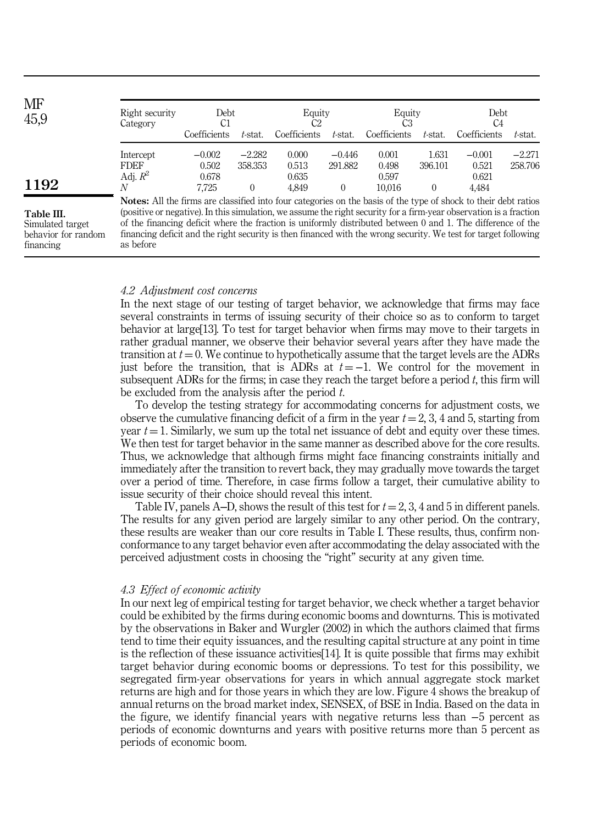| MF<br>45,9 | Right security<br>Category                                                                                             | Debt<br>C1   |          | Equity<br>C2 |          | Equity       |          | Debt<br>C4   |          |
|------------|------------------------------------------------------------------------------------------------------------------------|--------------|----------|--------------|----------|--------------|----------|--------------|----------|
|            |                                                                                                                        | Coefficients | t-stat.  | Coefficients | t-stat.  | Coefficients | t-stat.  | Coefficients | t-stat.  |
|            | Intercept                                                                                                              | $-0.002$     | $-2.282$ | 0.000        | $-0.446$ | 0.001        | 1.631    | $-0.001$     | $-2.271$ |
|            | <b>FDEF</b>                                                                                                            | 0.502        | 358.353  | 0.513        | 291.882  | 0.498        | 396.101  | 0.521        | 258.706  |
|            | Adj. $R^2$                                                                                                             | 0.678        |          | 0.635        |          | 0.597        |          | 0.621        |          |
| 1192       | N                                                                                                                      | 7.725        |          | 4.849        | 0        | 10.016       | $\theta$ | 4.484        |          |
|            | <b>Notes:</b> All the firms are classified into four categories on the basis of the type of shock to their debt ratios |              |          |              |          |              |          |              |          |

Table III.

Simulated target behavior for random financing

Notes: All the firms are classified into four categories on the basis of the type of shock to their debt ratios (positive or negative). In this simulation, we assume the right security for a firm-year observation is a fraction of the financing deficit where the fraction is uniformly distributed between 0 and 1. The difference of the financing deficit and the right security is then financed with the wrong security. We test for target following as before

## *4.2 Adjustment cost concerns*

In the next stage of our testing of target behavior, we acknowledge that firms may face several constraints in terms of issuing security of their choice so as to conform to target behavior at large[13]. To test for target behavior when firms may move to their targets in rather gradual manner, we observe their behavior several years after they have made the transition at  $t = 0$ . We continue to hypothetically assume that the target levels are the ADRs just before the transition, that is ADRs at  $t = -1$ . We control for the movement in subsequent ADRs for the firms; in case they reach the target before a period *t*, this firm will be excluded from the analysis after the period *t*.

To develop the testing strategy for accommodating concerns for adjustment costs, we observe the cumulative financing deficit of a firm in the year  $t = 2, 3, 4$  and 5, starting from year  $t = 1$ . Similarly, we sum up the total net issuance of debt and equity over these times. We then test for target behavior in the same manner as described above for the core results. Thus, we acknowledge that although firms might face financing constraints initially and immediately after the transition to revert back, they may gradually move towards the target over a period of time. Therefore, in case firms follow a target, their cumulative ability to issue security of their choice should reveal this intent.

Table IV, panels A–D, shows the result of this test for  $t = 2, 3, 4$  and 5 in different panels. The results for any given period are largely similar to any other period. On the contrary, these results are weaker than our core results in Table I. These results, thus, confirm nonconformance to any target behavior even after accommodating the delay associated with the perceived adjustment costs in choosing the "right" security at any given time.

# *4.3 Effect of economic activity*

In our next leg of empirical testing for target behavior, we check whether a target behavior could be exhibited by the firms during economic booms and downturns. This is motivated by the observations in Baker and Wurgler (2002) in which the authors claimed that firms tend to time their equity issuances, and the resulting capital structure at any point in time is the reflection of these issuance activities[14]. It is quite possible that firms may exhibit target behavior during economic booms or depressions. To test for this possibility, we segregated firm-year observations for years in which annual aggregate stock market returns are high and for those years in which they are low. Figure 4 shows the breakup of annual returns on the broad market index, SENSEX, of BSE in India. Based on the data in the figure, we identify financial years with negative returns less than −5 percent as periods of economic downturns and years with positive returns more than 5 percent as periods of economic boom.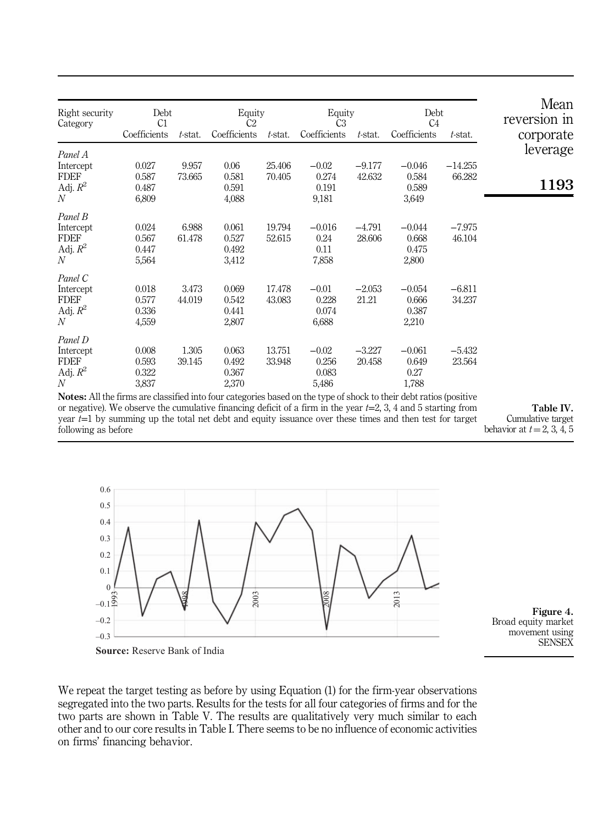| Right security<br>Category                                            | Debt<br>C1<br>Coefficients       | t-stat.         | Equity<br>C <sub>2</sub><br>Coefficients | t-stat.          | Equity<br>C <sub>3</sub><br>Coefficients | t-stat.            | Debt<br>C <sub>4</sub><br>Coefficients | t-stat.             | Mean<br>reversion in<br>corporate |
|-----------------------------------------------------------------------|----------------------------------|-----------------|------------------------------------------|------------------|------------------------------------------|--------------------|----------------------------------------|---------------------|-----------------------------------|
| Panel A                                                               |                                  |                 |                                          |                  |                                          |                    |                                        |                     | leverage                          |
| Intercept<br><b>FDEF</b><br>Adj. $R^2$<br>$\boldsymbol{N}$            | 0.027<br>0.587<br>0.487<br>6,809 | 9.957<br>73.665 | 0.06<br>0.581<br>0.591<br>4,088          | 25.406<br>70.405 | $-0.02$<br>0.274<br>0.191<br>9,181       | $-9.177$<br>42.632 | $-0.046$<br>0.584<br>0.589<br>3,649    | $-14.255$<br>66.282 | 1193                              |
| Panel B<br>Intercept<br><b>FDEF</b><br>Adj. $R^2$<br>N                | 0.024<br>0.567<br>0.447<br>5,564 | 6.988<br>61.478 | 0.061<br>0.527<br>0.492<br>3,412         | 19.794<br>52.615 | $-0.016$<br>0.24<br>0.11<br>7,858        | $-4.791$<br>28.606 | $-0.044$<br>0.668<br>0.475<br>2,800    | $-7.975$<br>46.104  |                                   |
| Panel C<br>Intercept<br><b>FDEF</b><br>Adj. $R^2$<br>$\overline{N}$   | 0.018<br>0.577<br>0.336<br>4,559 | 3.473<br>44.019 | 0.069<br>0.542<br>0.441<br>2,807         | 17.478<br>43.083 | $-0.01$<br>0.228<br>0.074<br>6,688       | $-2.053$<br>21.21  | $-0.054$<br>0.666<br>0.387<br>2,210    | $-6.811$<br>34.237  |                                   |
| Panel D<br>Intercept<br><b>FDEF</b><br>Adj. $R^2$<br>$\boldsymbol{N}$ | 0.008<br>0.593<br>0.322<br>3,837 | 1.305<br>39.145 | 0.063<br>0.492<br>0.367<br>2,370         | 13.751<br>33.948 | $-0.02$<br>0.256<br>0.083<br>5,486       | $-3.227$<br>20.458 | $-0.061$<br>0.649<br>0.27<br>1,788     | $-5.432$<br>23.564  |                                   |

Notes: All the firms are classified into four categories based on the type of shock to their debt ratios (positive or negative). We observe the cumulative financing deficit of a firm in the year  $t=2, 3, 4$  and 5 starting from year  $t=1$  by summing up the total net debt and equity issuance over these times and then test for target following as before

Table IV. Cumulative target

behavior at  $t=2, 3, 4, 5$ 

0.6 0.5 0.4 0.3 0.2 0.1  $\Omega$  $-0.1\frac{5}{12}$ –0.2 –0.3 1998 2003  $\frac{2008}{20}$ 2013

Figure 4. Broad equity market movement using **SENSEX** 

**Source:** Reserve Bank of India

We repeat the target testing as before by using Equation (1) for the firm-year observations segregated into the two parts. Results for the tests for all four categories of firms and for the two parts are shown in Table V. The results are qualitatively very much similar to each other and to our core results in Table I. There seems to be no influence of economic activities on firms' financing behavior.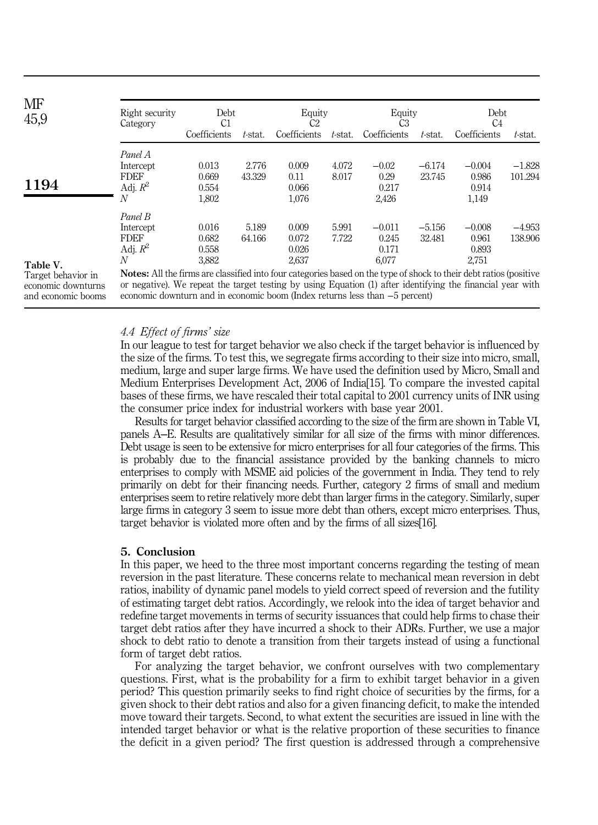| MF<br>45,9 | Right security<br>Category                                                                                                                                                   | Debt<br>C1                                |                 | Equity<br>C2                              |                | Equity<br>CЗ                                 |                    | Debt<br>C <sub>4</sub>                       |                     |
|------------|------------------------------------------------------------------------------------------------------------------------------------------------------------------------------|-------------------------------------------|-----------------|-------------------------------------------|----------------|----------------------------------------------|--------------------|----------------------------------------------|---------------------|
|            |                                                                                                                                                                              | Coefficients                              | t-stat.         | Coefficients                              | t-stat.        | Coefficients                                 | t-stat.            | Coefficients                                 | t-stat.             |
| 1194       | Panel A<br>Intercept<br><b>FDEF</b><br>Adj. $R^2$<br>N                                                                                                                       | 0.013<br>0.669<br>0.554                   | 2.776<br>43.329 | 0.009<br>0.11<br>0.066                    | 4.072<br>8.017 | $-0.02$<br>0.29<br>0.217                     | $-6.174$<br>23.745 | $-0.004$<br>0.986<br>0.914                   | $-1.828$<br>101.294 |
| Table V.   | Panel B<br>Intercept<br><b>FDEF</b><br>Adj. $R^2$<br>N<br>Notes: All the firms are classified into four categories based on the type of shock to their debt ratios (positive | 1,802<br>0.016<br>0.682<br>0.558<br>3,882 | 5.189<br>64.166 | 1,076<br>0.009<br>0.072<br>0.026<br>2,637 | 5.991<br>7.722 | 2.426<br>$-0.011$<br>0.245<br>0.171<br>6,077 | $-5.156$<br>32.481 | 1,149<br>$-0.008$<br>0.961<br>0.893<br>2,751 | $-4.953$<br>138.906 |

Target behavior in economic downturns and economic booms

Notes: All the firms are classified into four categories based on the type of shock to their debt ratios (positive or negative). We repeat the target testing by using Equation (1) after identifying the financial year with economic downturn and in economic boom (Index returns less than −5 percent)

## *4.4 Effect of firms*' *size*

In our league to test for target behavior we also check if the target behavior is influenced by the size of the firms. To test this, we segregate firms according to their size into micro, small, medium, large and super large firms. We have used the definition used by Micro, Small and Medium Enterprises Development Act, 2006 of India[15]. To compare the invested capital bases of these firms, we have rescaled their total capital to 2001 currency units of INR using the consumer price index for industrial workers with base year 2001.

Results for target behavior classified according to the size of the firm are shown in Table VI, panels A‒E. Results are qualitatively similar for all size of the firms with minor differences. Debt usage is seen to be extensive for micro enterprises for all four categories of the firms. This is probably due to the financial assistance provided by the banking channels to micro enterprises to comply with MSME aid policies of the government in India. They tend to rely primarily on debt for their financing needs. Further, category 2 firms of small and medium enterprises seem to retire relatively more debt than larger firms in the category. Similarly, super large firms in category 3 seem to issue more debt than others, except micro enterprises. Thus, target behavior is violated more often and by the firms of all sizes[16].

## 5. Conclusion

In this paper, we heed to the three most important concerns regarding the testing of mean reversion in the past literature. These concerns relate to mechanical mean reversion in debt ratios, inability of dynamic panel models to yield correct speed of reversion and the futility of estimating target debt ratios. Accordingly, we relook into the idea of target behavior and redefine target movements in terms of security issuances that could help firms to chase their target debt ratios after they have incurred a shock to their ADRs. Further, we use a major shock to debt ratio to denote a transition from their targets instead of using a functional form of target debt ratios.

For analyzing the target behavior, we confront ourselves with two complementary questions. First, what is the probability for a firm to exhibit target behavior in a given period? This question primarily seeks to find right choice of securities by the firms, for a given shock to their debt ratios and also for a given financing deficit, to make the intended move toward their targets. Second, to what extent the securities are issued in line with the intended target behavior or what is the relative proportion of these securities to finance the deficit in a given period? The first question is addressed through a comprehensive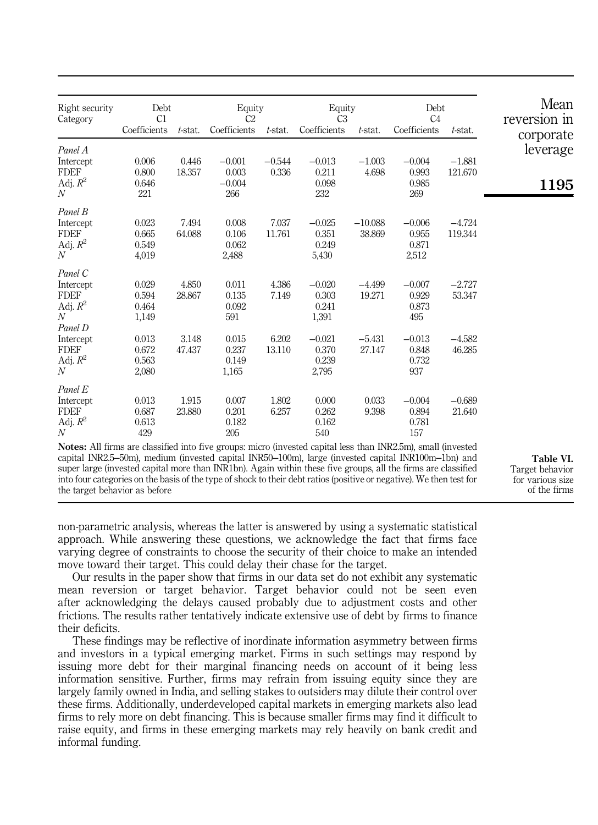| Right security<br>Category                                        | Debt<br>Equity<br>C <sub>2</sub><br>C1 |                 | Equity<br>Debt<br>C <sub>3</sub><br>C <sub>4</sub> |                 |                                     |                     |                                     |                     |           | Mean<br>reversion in |
|-------------------------------------------------------------------|----------------------------------------|-----------------|----------------------------------------------------|-----------------|-------------------------------------|---------------------|-------------------------------------|---------------------|-----------|----------------------|
|                                                                   | Coefficients                           | $t$ -stat.      | Coefficients                                       | $t$ -stat.      | Coefficients                        | $t$ -stat.          | Coefficients                        | $t$ -stat.          | corporate |                      |
| Panel A                                                           | 0.006                                  | 0.446           | $-0.001$                                           | $-0.544$        | $-0.013$                            | $-1.003$            | $-0.004$                            | $-1.881$            | leverage  |                      |
| Intercept<br><b>FDEF</b>                                          | 0.800                                  | 18.357          | 0.003                                              | 0.336           | 0.211                               | 4.698               | 0.993                               | 121.670             |           |                      |
| Adj. $R^2$<br>$\boldsymbol{N}$                                    | 0.646<br>221                           |                 | $-0.004$<br>266                                    |                 | 0.098<br>232                        |                     | 0.985<br>269                        |                     | 1195      |                      |
| Panel B                                                           |                                        |                 |                                                    |                 |                                     |                     |                                     |                     |           |                      |
| Intercept<br><b>FDEF</b><br>Adj. $R^2$<br>$\mathcal{N}$           | 0.023<br>0.665<br>0.549<br>4,019       | 7.494<br>64.088 | 0.008<br>0.106<br>0.062<br>2,488                   | 7.037<br>11.761 | $-0.025$<br>0.351<br>0.249<br>5,430 | $-10.088$<br>38.869 | $-0.006$<br>0.955<br>0.871<br>2,512 | $-4.724$<br>119.344 |           |                      |
| Panel C                                                           |                                        |                 |                                                    |                 |                                     |                     |                                     |                     |           |                      |
| Intercept<br><b>FDEF</b><br>Adj. $R^2$<br>$\overline{N}$          | 0.029<br>0.594<br>0.464<br>1,149       | 4.850<br>28.867 | 0.011<br>0.135<br>0.092<br>591                     | 4.386<br>7.149  | $-0.020$<br>0.303<br>0.241<br>1,391 | $-4.499$<br>19.271  | $-0.007$<br>0.929<br>0.873<br>495   | $-2.727$<br>53.347  |           |                      |
| Panel D<br>Intercept<br><b>FDEF</b><br>Adj. $R^2$<br>$\mathcal N$ | 0.013<br>0.672<br>0.563<br>2,080       | 3.148<br>47.437 | 0.015<br>0.237<br>0.149<br>1,165                   | 6.202<br>13.110 | $-0.021$<br>0.370<br>0.239<br>2,795 | $-5.431$<br>27.147  | $-0.013$<br>0.848<br>0.732<br>937   | $-4.582$<br>46.285  |           |                      |
| Panel E                                                           |                                        |                 |                                                    |                 |                                     |                     |                                     |                     |           |                      |
| Intercept<br><b>FDEF</b><br>Adj. $R^2$<br>$\mathcal N$            | 0.013<br>0.687<br>0.613<br>429         | 1.915<br>23.880 | 0.007<br>0.201<br>0.182<br>205                     | 1.802<br>6.257  | 0.000<br>0.262<br>0.162<br>540      | 0.033<br>9.398      | $-0.004$<br>0.894<br>0.781<br>157   | $-0.689$<br>21.640  |           |                      |

Notes: All firms are classified into five groups: micro (invested capital less than INR2.5m), small (invested capital INR2.5–50m), medium (invested capital INR50–100m), large (invested capital INR100m–1bn) and super large (invested capital more than INR1bn). Again within these five groups, all the firms are classified into four categories on the basis of the type of shock to their debt ratios (positive or negative). We then test for the target behavior as before

Table VI. Target behavior for various size of the firms

non-parametric analysis, whereas the latter is answered by using a systematic statistical approach. While answering these questions, we acknowledge the fact that firms face varying degree of constraints to choose the security of their choice to make an intended move toward their target. This could delay their chase for the target.

Our results in the paper show that firms in our data set do not exhibit any systematic mean reversion or target behavior. Target behavior could not be seen even after acknowledging the delays caused probably due to adjustment costs and other frictions. The results rather tentatively indicate extensive use of debt by firms to finance their deficits.

These findings may be reflective of inordinate information asymmetry between firms and investors in a typical emerging market. Firms in such settings may respond by issuing more debt for their marginal financing needs on account of it being less information sensitive. Further, firms may refrain from issuing equity since they are largely family owned in India, and selling stakes to outsiders may dilute their control over these firms. Additionally, underdeveloped capital markets in emerging markets also lead firms to rely more on debt financing. This is because smaller firms may find it difficult to raise equity, and firms in these emerging markets may rely heavily on bank credit and informal funding.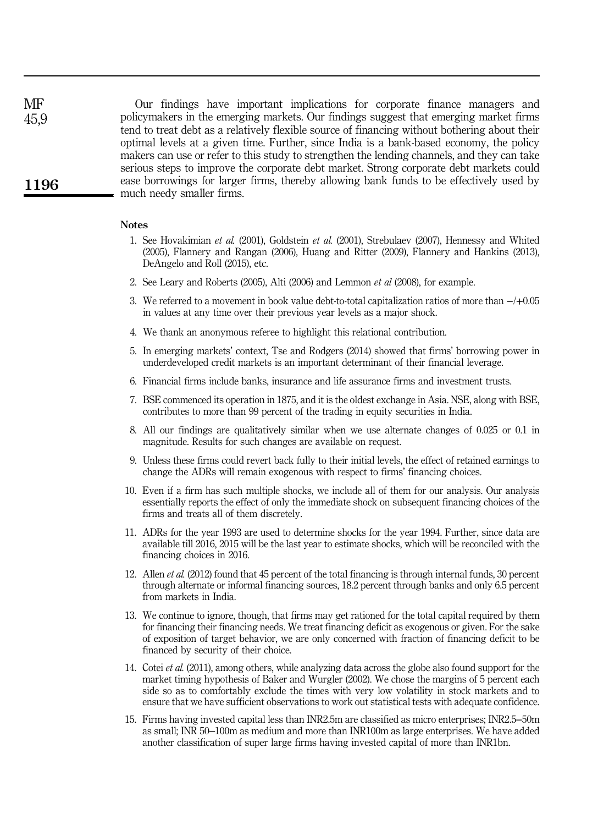Our findings have important implications for corporate finance managers and policymakers in the emerging markets. Our findings suggest that emerging market firms tend to treat debt as a relatively flexible source of financing without bothering about their optimal levels at a given time. Further, since India is a bank-based economy, the policy makers can use or refer to this study to strengthen the lending channels, and they can take serious steps to improve the corporate debt market. Strong corporate debt markets could ease borrowings for larger firms, thereby allowing bank funds to be effectively used by much needy smaller firms. 1196 **MF** 45,9

#### **Notes**

- 1. See Hovakimian *et al.* (2001), Goldstein *et al.* (2001), Strebulaev (2007), Hennessy and Whited (2005), Flannery and Rangan (2006), Huang and Ritter (2009), Flannery and Hankins (2013), DeAngelo and Roll (2015), etc.
- 2. See Leary and Roberts (2005), Alti (2006) and Lemmon *et al* (2008), for example.
- 3. We referred to a movement in book value debt-to-total capitalization ratios of more than −/+0.05 in values at any time over their previous year levels as a major shock.
- 4. We thank an anonymous referee to highlight this relational contribution.
- 5. In emerging markets' context, Tse and Rodgers (2014) showed that firms' borrowing power in underdeveloped credit markets is an important determinant of their financial leverage.
- 6. Financial firms include banks, insurance and life assurance firms and investment trusts.
- 7. BSE commenced its operation in 1875, and it is the oldest exchange in Asia. NSE, along with BSE, contributes to more than 99 percent of the trading in equity securities in India.
- 8. All our findings are qualitatively similar when we use alternate changes of 0.025 or 0.1 in magnitude. Results for such changes are available on request.
- 9. Unless these firms could revert back fully to their initial levels, the effect of retained earnings to change the ADRs will remain exogenous with respect to firms' financing choices.
- 10. Even if a firm has such multiple shocks, we include all of them for our analysis. Our analysis essentially reports the effect of only the immediate shock on subsequent financing choices of the firms and treats all of them discretely.
- 11. ADRs for the year 1993 are used to determine shocks for the year 1994. Further, since data are available till 2016, 2015 will be the last year to estimate shocks, which will be reconciled with the financing choices in 2016.
- 12. Allen *et al.* (2012) found that 45 percent of the total financing is through internal funds, 30 percent through alternate or informal financing sources, 18.2 percent through banks and only 6.5 percent from markets in India.
- 13. We continue to ignore, though, that firms may get rationed for the total capital required by them for financing their financing needs. We treat financing deficit as exogenous or given. For the sake of exposition of target behavior, we are only concerned with fraction of financing deficit to be financed by security of their choice.
- 14. Cotei *et al.* (2011), among others, while analyzing data across the globe also found support for the market timing hypothesis of Baker and Wurgler (2002). We chose the margins of 5 percent each side so as to comfortably exclude the times with very low volatility in stock markets and to ensure that we have sufficient observations to work out statistical tests with adequate confidence.
- 15. Firms having invested capital less than INR2.5m are classified as micro enterprises; INR2.5‒50m as small; INR 50–100m as medium and more than INR100m as large enterprises. We have added another classification of super large firms having invested capital of more than INR1bn.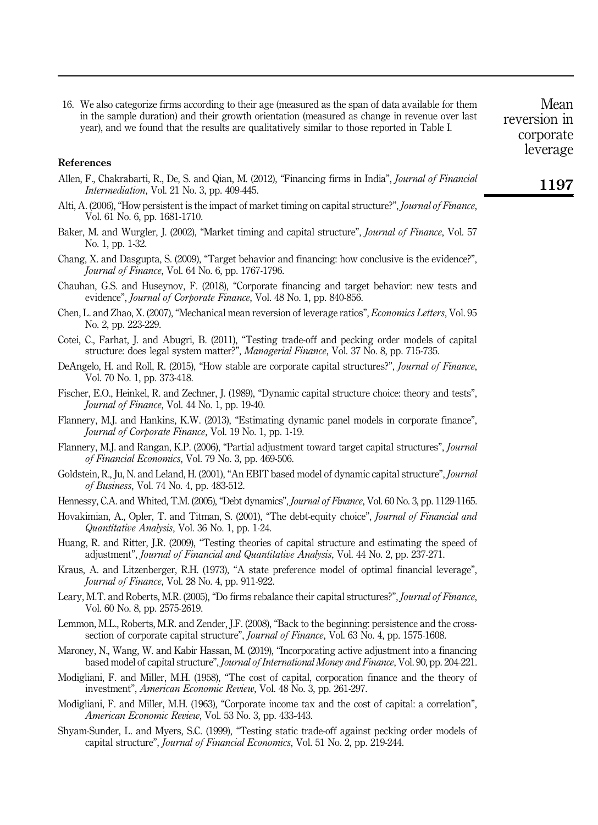16. We also categorize firms according to their age (measured as the span of data available for them in the sample duration) and their growth orientation (measured as change in revenue over last year), and we found that the results are qualitatively similar to those reported in Table I.

Mean reversion in corporate leverage

#### References

- Allen, F., Chakrabarti, R., De, S. and Qian, M. (2012), "Financing firms in India", *Journal of Financial Intermediation*, Vol. 21 No. 3, pp. 409-445.
- Alti, A. (2006), "How persistent is the impact of market timing on capital structure?", *Journal of Finance*, Vol. 61 No. 6, pp. 1681-1710.
- Baker, M. and Wurgler, J. (2002), "Market timing and capital structure", *Journal of Finance*, Vol. 57 No. 1, pp. 1-32.
- Chang, X. and Dasgupta, S. (2009), "Target behavior and financing: how conclusive is the evidence?", *Journal of Finance*, Vol. 64 No. 6, pp. 1767-1796.
- Chauhan, G.S. and Huseynov, F. (2018), "Corporate financing and target behavior: new tests and evidence", *Journal of Corporate Finance*, Vol. 48 No. 1, pp. 840-856.
- Chen, L. and Zhao, X. (2007), "Mechanical mean reversion of leverage ratios", *Economics Letters*, Vol. 95 No. 2, pp. 223-229.
- Cotei, C., Farhat, J. and Abugri, B. (2011), "Testing trade-off and pecking order models of capital structure: does legal system matter?", *Managerial Finance*, Vol. 37 No. 8, pp. 715-735.
- DeAngelo, H. and Roll, R. (2015), "How stable are corporate capital structures?", *Journal of Finance*, Vol. 70 No. 1, pp. 373-418.
- Fischer, E.O., Heinkel, R. and Zechner, J. (1989), "Dynamic capital structure choice: theory and tests", *Journal of Finance*, Vol. 44 No. 1, pp. 19-40.
- Flannery, M.J. and Hankins, K.W. (2013), "Estimating dynamic panel models in corporate finance", *Journal of Corporate Finance*, Vol. 19 No. 1, pp. 1-19.
- Flannery, M.J. and Rangan, K.P. (2006), "Partial adjustment toward target capital structures", *Journal of Financial Economics*, Vol. 79 No. 3, pp. 469-506.
- Goldstein, R., Ju, N. and Leland, H. (2001), "An EBIT based model of dynamic capital structure", *Journal of Business*, Vol. 74 No. 4, pp. 483-512.
- Hennessy, C.A. and Whited, T.M. (2005), "Debt dynamics", *Journal of Finance*, Vol. 60 No. 3, pp. 1129-1165.
- Hovakimian, A., Opler, T. and Titman, S. (2001), "The debt-equity choice", *Journal of Financial and Quantitative Analysis*, Vol. 36 No. 1, pp. 1-24.
- Huang, R. and Ritter, J.R. (2009), "Testing theories of capital structure and estimating the speed of adjustment", *Journal of Financial and Quantitative Analysis*, Vol. 44 No. 2, pp. 237-271.
- Kraus, A. and Litzenberger, R.H. (1973), "A state preference model of optimal financial leverage", *Journal of Finance*, Vol. 28 No. 4, pp. 911-922.
- Leary, M.T. and Roberts, M.R. (2005), "Do firms rebalance their capital structures?", *Journal of Finance*, Vol. 60 No. 8, pp. 2575-2619.
- Lemmon, M.L., Roberts, M.R. and Zender, J.F. (2008), "Back to the beginning: persistence and the crosssection of corporate capital structure", *Journal of Finance*, Vol. 63 No. 4, pp. 1575-1608.
- Maroney, N., Wang, W. and Kabir Hassan, M. (2019), "Incorporating active adjustment into a financing based model of capital structure", *Journal of International Money and Finance*, Vol. 90, pp. 204-221.
- Modigliani, F. and Miller, M.H. (1958), "The cost of capital, corporation finance and the theory of investment", *American Economic Review*, Vol. 48 No. 3, pp. 261-297.
- Modigliani, F. and Miller, M.H. (1963), "Corporate income tax and the cost of capital: a correlation", *American Economic Review*, Vol. 53 No. 3, pp. 433-443.
- Shyam-Sunder, L. and Myers, S.C. (1999), "Testing static trade-off against pecking order models of capital structure", *Journal of Financial Economics*, Vol. 51 No. 2, pp. 219-244.